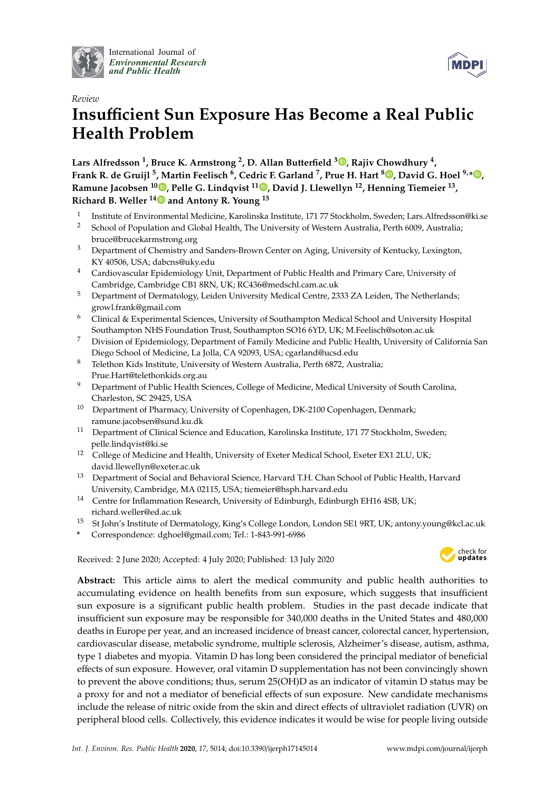

International Journal of *[Environmental Research](http://www.mdpi.com/journal/ijerph) and Public Health*



# *Review* **Insu**ffi**cient Sun Exposure Has Become a Real Public Health Problem**

**Lars Alfredsson <sup>1</sup> , Bruce K. Armstrong <sup>2</sup> , D. Allan Butterfield <sup>3</sup> [,](https://orcid.org/0000-0003-3254-5286) Rajiv Chowdhury <sup>4</sup> , Frank R. de Gruijl <sup>5</sup> , Martin Feelisch <sup>6</sup> , Cedric F. Garland <sup>7</sup> , Prue H. Hart [8](https://orcid.org/0000-0001-7207-6467) , David G. Hoel 9,[\\*](https://orcid.org/0000-0002-1178-1610) , Ramune Jacobsen <sup>10</sup> [,](https://orcid.org/0000-0002-8142-9807) Pelle G. Lindqvist <sup>11</sup> [,](https://orcid.org/0000-0002-1652-8235) David J. Llewellyn <sup>12</sup>, Henning Tiemeier <sup>13</sup> , Richard B. Weller 1[4](https://orcid.org/0000-0003-2550-9586) and Antony R. Young <sup>15</sup>**

- 1 Institute of Environmental Medicine, Karolinska Institute, 171 77 Stockholm, Sweden; Lars.Alfredsson@ki.se
- <sup>2</sup> School of Population and Global Health, The University of Western Australia, Perth 6009, Australia; bruce@brucekarmstrong.org
- <sup>3</sup> Department of Chemistry and Sanders-Brown Center on Aging, University of Kentucky, Lexington, KY 40506, USA; dabcns@uky.edu
- <sup>4</sup> Cardiovascular Epidemiology Unit, Department of Public Health and Primary Care, University of Cambridge, Cambridge CB1 8RN, UK; RC436@medschl.cam.ac.uk
- <sup>5</sup> Department of Dermatology, Leiden University Medical Centre, 2333 ZA Leiden, The Netherlands; growl.frank@gmail.com
- <sup>6</sup> Clinical & Experimental Sciences, University of Southampton Medical School and University Hospital Southampton NHS Foundation Trust, Southampton SO16 6YD, UK; M.Feelisch@soton.ac.uk
- <sup>7</sup> Division of Epidemiology, Department of Family Medicine and Public Health, University of California San Diego School of Medicine, La Jolla, CA 92093, USA; cgarland@ucsd.edu
- <sup>8</sup> Telethon Kids Institute, University of Western Australia, Perth 6872, Australia; Prue.Hart@telethonkids.org.au
- <sup>9</sup> Department of Public Health Sciences, College of Medicine, Medical University of South Carolina, Charleston, SC 29425, USA
- <sup>10</sup> Department of Pharmacy, University of Copenhagen, DK-2100 Copenhagen, Denmark; ramune.jacobsen@sund.ku.dk
- <sup>11</sup> Department of Clinical Science and Education, Karolinska Institute, 171 77 Stockholm, Sweden; pelle.lindqvist@ki.se
- <sup>12</sup> College of Medicine and Health, University of Exeter Medical School, Exeter EX1 2LU, UK; david.llewellyn@exeter.ac.uk
- <sup>13</sup> Department of Social and Behavioral Science, Harvard T.H. Chan School of Public Health, Harvard University, Cambridge, MA 02115, USA; tiemeier@hsph.harvard.edu
- <sup>14</sup> Centre for Inflammation Research, University of Edinburgh, Edinburgh EH16 4SB, UK; richard.weller@ed.ac.uk
- <sup>15</sup> St John's Institute of Dermatology, King's College London, London SE1 9RT, UK; antony.young@kcl.ac.uk
- **\*** Correspondence: dghoel@gmail.com; Tel.: 1-843-991-6986

Received: 2 June 2020; Accepted: 4 July 2020; Published: 13 July 2020



**Abstract:** This article aims to alert the medical community and public health authorities to accumulating evidence on health benefits from sun exposure, which suggests that insufficient sun exposure is a significant public health problem. Studies in the past decade indicate that insufficient sun exposure may be responsible for 340,000 deaths in the United States and 480,000 deaths in Europe per year, and an increased incidence of breast cancer, colorectal cancer, hypertension, cardiovascular disease, metabolic syndrome, multiple sclerosis, Alzheimer's disease, autism, asthma, type 1 diabetes and myopia. Vitamin D has long been considered the principal mediator of beneficial effects of sun exposure. However, oral vitamin D supplementation has not been convincingly shown to prevent the above conditions; thus, serum 25(OH)D as an indicator of vitamin D status may be a proxy for and not a mediator of beneficial effects of sun exposure. New candidate mechanisms include the release of nitric oxide from the skin and direct effects of ultraviolet radiation (UVR) on peripheral blood cells. Collectively, this evidence indicates it would be wise for people living outside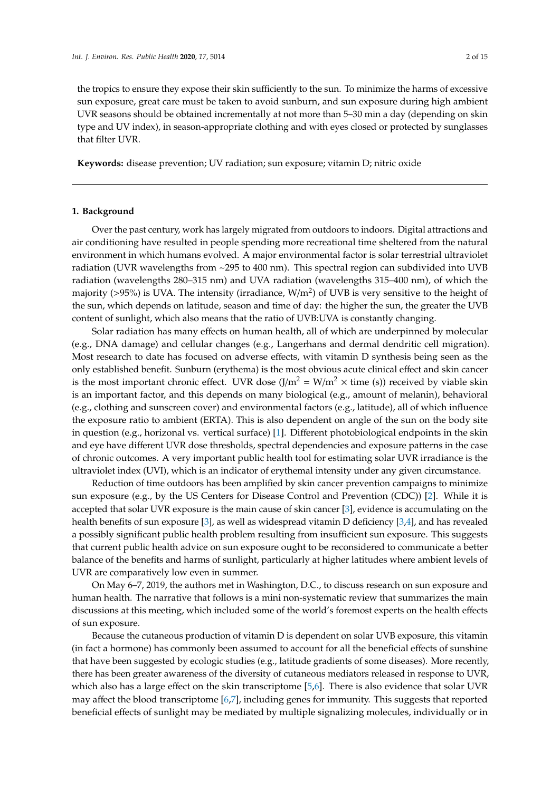the tropics to ensure they expose their skin sufficiently to the sun. To minimize the harms of excessive sun exposure, great care must be taken to avoid sunburn, and sun exposure during high ambient UVR seasons should be obtained incrementally at not more than 5–30 min a day (depending on skin type and UV index), in season-appropriate clothing and with eyes closed or protected by sunglasses that filter UVR.

**Keywords:** disease prevention; UV radiation; sun exposure; vitamin D; nitric oxide

# **1. Background**

Over the past century, work has largely migrated from outdoors to indoors. Digital attractions and air conditioning have resulted in people spending more recreational time sheltered from the natural environment in which humans evolved. A major environmental factor is solar terrestrial ultraviolet radiation (UVR wavelengths from ~295 to 400 nm). This spectral region can subdivided into UVB radiation (wavelengths 280–315 nm) and UVA radiation (wavelengths 315–400 nm), of which the majority (>95%) is UVA. The intensity (irradiance,  $W/m^2$ ) of UVB is very sensitive to the height of the sun, which depends on latitude, season and time of day: the higher the sun, the greater the UVB content of sunlight, which also means that the ratio of UVB:UVA is constantly changing.

Solar radiation has many effects on human health, all of which are underpinned by molecular (e.g., DNA damage) and cellular changes (e.g., Langerhans and dermal dendritic cell migration). Most research to date has focused on adverse effects, with vitamin D synthesis being seen as the only established benefit. Sunburn (erythema) is the most obvious acute clinical effect and skin cancer is the most important chronic effect. UVR dose  $(J/m^2 = W/m^2 \times \text{time (s)})$  received by viable skin is an important factor, and this depends on many biological (e.g., amount of melanin), behavioral (e.g., clothing and sunscreen cover) and environmental factors (e.g., latitude), all of which influence the exposure ratio to ambient (ERTA). This is also dependent on angle of the sun on the body site in question (e.g., horizonal vs. vertical surface) [\[1\]](#page-8-0). Different photobiological endpoints in the skin and eye have different UVR dose thresholds, spectral dependencies and exposure patterns in the case of chronic outcomes. A very important public health tool for estimating solar UVR irradiance is the ultraviolet index (UVI), which is an indicator of erythemal intensity under any given circumstance.

Reduction of time outdoors has been amplified by skin cancer prevention campaigns to minimize sun exposure (e.g., by the US Centers for Disease Control and Prevention (CDC)) [\[2\]](#page-8-1). While it is accepted that solar UVR exposure is the main cause of skin cancer [\[3\]](#page-9-0), evidence is accumulating on the health benefits of sun exposure [\[3\]](#page-9-0), as well as widespread vitamin D deficiency [\[3,](#page-9-0)[4\]](#page-9-1), and has revealed a possibly significant public health problem resulting from insufficient sun exposure. This suggests that current public health advice on sun exposure ought to be reconsidered to communicate a better balance of the benefits and harms of sunlight, particularly at higher latitudes where ambient levels of UVR are comparatively low even in summer.

On May 6–7, 2019, the authors met in Washington, D.C., to discuss research on sun exposure and human health. The narrative that follows is a mini non-systematic review that summarizes the main discussions at this meeting, which included some of the world's foremost experts on the health effects of sun exposure.

Because the cutaneous production of vitamin D is dependent on solar UVB exposure, this vitamin (in fact a hormone) has commonly been assumed to account for all the beneficial effects of sunshine that have been suggested by ecologic studies (e.g., latitude gradients of some diseases). More recently, there has been greater awareness of the diversity of cutaneous mediators released in response to UVR, which also has a large effect on the skin transcriptome [\[5](#page-9-2)[,6\]](#page-9-3). There is also evidence that solar UVR may affect the blood transcriptome [\[6,](#page-9-3)[7\]](#page-9-4), including genes for immunity. This suggests that reported beneficial effects of sunlight may be mediated by multiple signalizing molecules, individually or in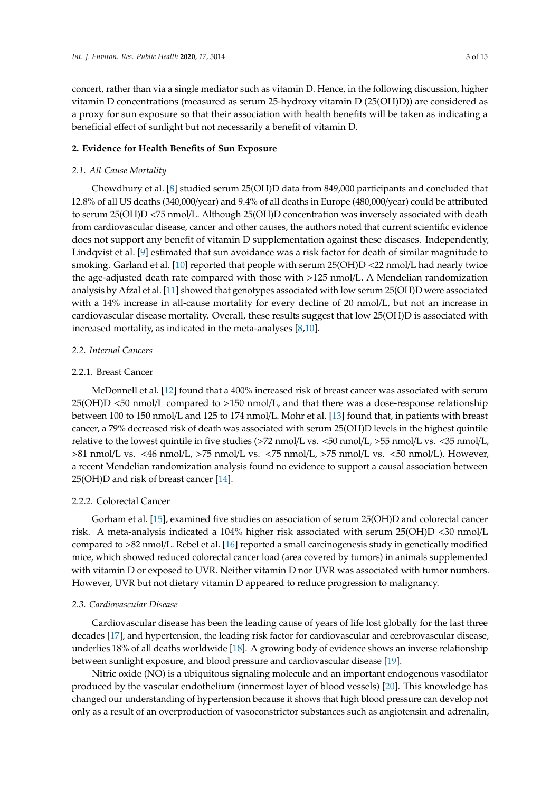concert, rather than via a single mediator such as vitamin D. Hence, in the following discussion, higher vitamin D concentrations (measured as serum 25-hydroxy vitamin D (25(OH)D)) are considered as a proxy for sun exposure so that their association with health benefits will be taken as indicating a beneficial effect of sunlight but not necessarily a benefit of vitamin D.

# **2. Evidence for Health Benefits of Sun Exposure**

# *2.1. All-Cause Mortality*

Chowdhury et al. [\[8\]](#page-9-5) studied serum 25(OH)D data from 849,000 participants and concluded that 12.8% of all US deaths (340,000/year) and 9.4% of all deaths in Europe (480,000/year) could be attributed to serum 25(OH)D <75 nmol/L. Although 25(OH)D concentration was inversely associated with death from cardiovascular disease, cancer and other causes, the authors noted that current scientific evidence does not support any benefit of vitamin D supplementation against these diseases. Independently, Lindqvist et al. [\[9\]](#page-9-6) estimated that sun avoidance was a risk factor for death of similar magnitude to smoking. Garland et al. [\[10\]](#page-9-7) reported that people with serum 25(OH)D <22 nmol/L had nearly twice the age-adjusted death rate compared with those with >125 nmol/L. A Mendelian randomization analysis by Afzal et al. [\[11\]](#page-9-8) showed that genotypes associated with low serum 25(OH)D were associated with a 14% increase in all-cause mortality for every decline of 20 nmol/L, but not an increase in cardiovascular disease mortality. Overall, these results suggest that low 25(OH)D is associated with increased mortality, as indicated in the meta-analyses [\[8](#page-9-5)[,10\]](#page-9-7).

## *2.2. Internal Cancers*

# 2.2.1. Breast Cancer

McDonnell et al. [\[12\]](#page-9-9) found that a 400% increased risk of breast cancer was associated with serum 25(OH)D <50 nmol/L compared to >150 nmol/L, and that there was a dose-response relationship between 100 to 150 nmol/L and 125 to 174 nmol/L. Mohr et al. [\[13\]](#page-9-10) found that, in patients with breast cancer, a 79% decreased risk of death was associated with serum 25(OH)D levels in the highest quintile relative to the lowest quintile in five studies (>72 nmol/L vs. <50 nmol/L, >55 nmol/L vs. <35 nmol/L, >81 nmol/L vs. <46 nmol/L, >75 nmol/L vs. <75 nmol/L, >75 nmol/L vs. <50 nmol/L). However, a recent Mendelian randomization analysis found no evidence to support a causal association between 25(OH)D and risk of breast cancer [\[14\]](#page-9-11).

# 2.2.2. Colorectal Cancer

Gorham et al. [\[15\]](#page-9-12), examined five studies on association of serum 25(OH)D and colorectal cancer risk. A meta-analysis indicated a 104% higher risk associated with serum 25(OH)D <30 nmol/L compared to >82 nmol/L. Rebel et al. [\[16\]](#page-9-13) reported a small carcinogenesis study in genetically modified mice, which showed reduced colorectal cancer load (area covered by tumors) in animals supplemented with vitamin D or exposed to UVR. Neither vitamin D nor UVR was associated with tumor numbers. However, UVR but not dietary vitamin D appeared to reduce progression to malignancy.

#### *2.3. Cardiovascular Disease*

Cardiovascular disease has been the leading cause of years of life lost globally for the last three decades [\[17\]](#page-9-14), and hypertension, the leading risk factor for cardiovascular and cerebrovascular disease, underlies 18% of all deaths worldwide [\[18\]](#page-9-15). A growing body of evidence shows an inverse relationship between sunlight exposure, and blood pressure and cardiovascular disease [\[19\]](#page-9-16).

Nitric oxide (NO) is a ubiquitous signaling molecule and an important endogenous vasodilator produced by the vascular endothelium (innermost layer of blood vessels) [\[20\]](#page-10-0). This knowledge has changed our understanding of hypertension because it shows that high blood pressure can develop not only as a result of an overproduction of vasoconstrictor substances such as angiotensin and adrenalin,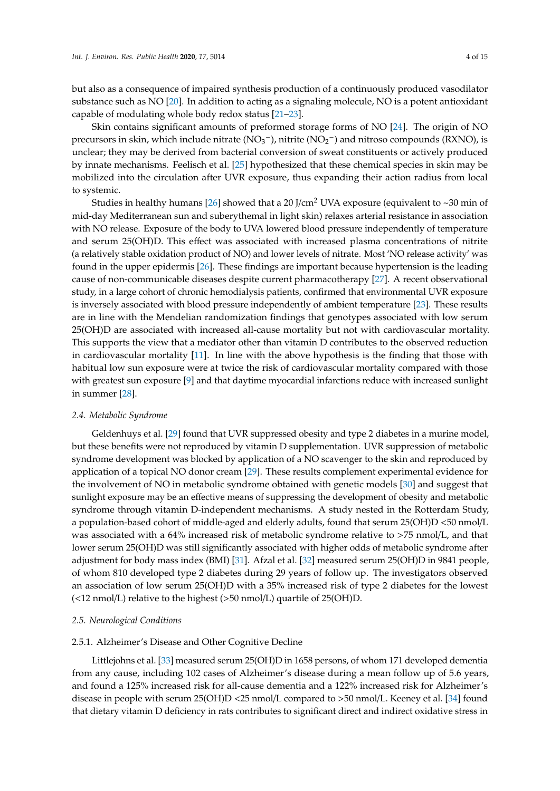but also as a consequence of impaired synthesis production of a continuously produced vasodilator substance such as NO [\[20\]](#page-10-0). In addition to acting as a signaling molecule, NO is a potent antioxidant capable of modulating whole body redox status [\[21](#page-10-1)[–23\]](#page-10-2).

Skin contains significant amounts of preformed storage forms of NO [\[24\]](#page-10-3). The origin of NO precursors in skin, which include nitrate ( $\rm NO_3^-$ ), nitrite ( $\rm NO_2^-$ ) and nitroso compounds (RXNO), is unclear; they may be derived from bacterial conversion of sweat constituents or actively produced by innate mechanisms. Feelisch et al. [\[25\]](#page-10-4) hypothesized that these chemical species in skin may be mobilized into the circulation after UVR exposure, thus expanding their action radius from local to systemic.

Studies in healthy humans [\[26\]](#page-10-5) showed that a 20 J/cm<sup>2</sup> UVA exposure (equivalent to  $\sim$ 30 min of mid-day Mediterranean sun and suberythemal in light skin) relaxes arterial resistance in association with NO release. Exposure of the body to UVA lowered blood pressure independently of temperature and serum 25(OH)D. This effect was associated with increased plasma concentrations of nitrite (a relatively stable oxidation product of NO) and lower levels of nitrate. Most 'NO release activity' was found in the upper epidermis [\[26\]](#page-10-5). These findings are important because hypertension is the leading cause of non-communicable diseases despite current pharmacotherapy [\[27\]](#page-10-6). A recent observational study, in a large cohort of chronic hemodialysis patients, confirmed that environmental UVR exposure is inversely associated with blood pressure independently of ambient temperature [\[23\]](#page-10-2). These results are in line with the Mendelian randomization findings that genotypes associated with low serum 25(OH)D are associated with increased all-cause mortality but not with cardiovascular mortality. This supports the view that a mediator other than vitamin D contributes to the observed reduction in cardiovascular mortality [\[11\]](#page-9-8). In line with the above hypothesis is the finding that those with habitual low sun exposure were at twice the risk of cardiovascular mortality compared with those with greatest sun exposure [\[9\]](#page-9-6) and that daytime myocardial infarctions reduce with increased sunlight in summer [\[28\]](#page-10-7).

# *2.4. Metabolic Syndrome*

Geldenhuys et al. [\[29\]](#page-10-8) found that UVR suppressed obesity and type 2 diabetes in a murine model, but these benefits were not reproduced by vitamin D supplementation. UVR suppression of metabolic syndrome development was blocked by application of a NO scavenger to the skin and reproduced by application of a topical NO donor cream [\[29\]](#page-10-8). These results complement experimental evidence for the involvement of NO in metabolic syndrome obtained with genetic models [\[30\]](#page-10-9) and suggest that sunlight exposure may be an effective means of suppressing the development of obesity and metabolic syndrome through vitamin D-independent mechanisms. A study nested in the Rotterdam Study, a population-based cohort of middle-aged and elderly adults, found that serum 25(OH)D <50 nmol/L was associated with a 64% increased risk of metabolic syndrome relative to >75 nmol/L, and that lower serum 25(OH)D was still significantly associated with higher odds of metabolic syndrome after adjustment for body mass index (BMI) [\[31\]](#page-10-10). Afzal et al. [\[32\]](#page-10-11) measured serum 25(OH)D in 9841 people, of whom 810 developed type 2 diabetes during 29 years of follow up. The investigators observed an association of low serum 25(OH)D with a 35% increased risk of type 2 diabetes for the lowest (<12 nmol/L) relative to the highest (>50 nmol/L) quartile of 25(OH)D.

# *2.5. Neurological Conditions*

# 2.5.1. Alzheimer's Disease and Other Cognitive Decline

Littlejohns et al. [\[33\]](#page-10-12) measured serum 25(OH)D in 1658 persons, of whom 171 developed dementia from any cause, including 102 cases of Alzheimer's disease during a mean follow up of 5.6 years, and found a 125% increased risk for all-cause dementia and a 122% increased risk for Alzheimer's disease in people with serum 25(OH)D <25 nmol/L compared to >50 nmol/L. Keeney et al. [\[34\]](#page-10-13) found that dietary vitamin D deficiency in rats contributes to significant direct and indirect oxidative stress in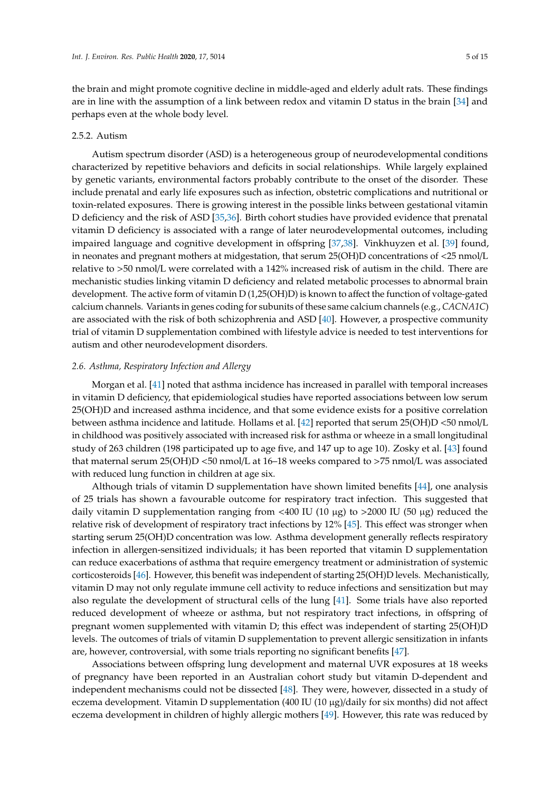the brain and might promote cognitive decline in middle-aged and elderly adult rats. These findings are in line with the assumption of a link between redox and vitamin D status in the brain [\[34\]](#page-10-13) and perhaps even at the whole body level.

## 2.5.2. Autism

Autism spectrum disorder (ASD) is a heterogeneous group of neurodevelopmental conditions characterized by repetitive behaviors and deficits in social relationships. While largely explained by genetic variants, environmental factors probably contribute to the onset of the disorder. These include prenatal and early life exposures such as infection, obstetric complications and nutritional or toxin-related exposures. There is growing interest in the possible links between gestational vitamin D deficiency and the risk of ASD [\[35](#page-10-14)[,36\]](#page-10-15). Birth cohort studies have provided evidence that prenatal vitamin D deficiency is associated with a range of later neurodevelopmental outcomes, including impaired language and cognitive development in offspring [\[37,](#page-10-16)[38\]](#page-10-17). Vinkhuyzen et al. [\[39\]](#page-10-18) found, in neonates and pregnant mothers at midgestation, that serum 25(OH)D concentrations of <25 nmol/L relative to >50 nmol/L were correlated with a 142% increased risk of autism in the child. There are mechanistic studies linking vitamin D deficiency and related metabolic processes to abnormal brain development. The active form of vitamin D (1,25(OH)D) is known to affect the function of voltage-gated calcium channels. Variants in genes coding for subunits of these same calcium channels (e.g., *CACNA1C*) are associated with the risk of both schizophrenia and ASD [\[40\]](#page-11-0). However, a prospective community trial of vitamin D supplementation combined with lifestyle advice is needed to test interventions for autism and other neurodevelopment disorders.

# *2.6. Asthma, Respiratory Infection and Allergy*

Morgan et al. [\[41\]](#page-11-1) noted that asthma incidence has increased in parallel with temporal increases in vitamin D deficiency, that epidemiological studies have reported associations between low serum 25(OH)D and increased asthma incidence, and that some evidence exists for a positive correlation between asthma incidence and latitude. Hollams et al. [\[42\]](#page-11-2) reported that serum 25(OH)D <50 nmol/L in childhood was positively associated with increased risk for asthma or wheeze in a small longitudinal study of 263 children (198 participated up to age five, and 147 up to age 10). Zosky et al. [\[43\]](#page-11-3) found that maternal serum 25(OH)D <50 nmol/L at 16–18 weeks compared to >75 nmol/L was associated with reduced lung function in children at age six.

Although trials of vitamin D supplementation have shown limited benefits [\[44\]](#page-11-4), one analysis of 25 trials has shown a favourable outcome for respiratory tract infection. This suggested that daily vitamin D supplementation ranging from <400 IU (10 µg) to >2000 IU (50 µg) reduced the relative risk of development of respiratory tract infections by 12% [\[45\]](#page-11-5). This effect was stronger when starting serum 25(OH)D concentration was low. Asthma development generally reflects respiratory infection in allergen-sensitized individuals; it has been reported that vitamin D supplementation can reduce exacerbations of asthma that require emergency treatment or administration of systemic corticosteroids [\[46\]](#page-11-6). However, this benefit was independent of starting 25(OH)D levels. Mechanistically, vitamin D may not only regulate immune cell activity to reduce infections and sensitization but may also regulate the development of structural cells of the lung [\[41\]](#page-11-1). Some trials have also reported reduced development of wheeze or asthma, but not respiratory tract infections, in offspring of pregnant women supplemented with vitamin D; this effect was independent of starting 25(OH)D levels. The outcomes of trials of vitamin D supplementation to prevent allergic sensitization in infants are, however, controversial, with some trials reporting no significant benefits [\[47\]](#page-11-7).

Associations between offspring lung development and maternal UVR exposures at 18 weeks of pregnancy have been reported in an Australian cohort study but vitamin D-dependent and independent mechanisms could not be dissected [\[48\]](#page-11-8). They were, however, dissected in a study of eczema development. Vitamin D supplementation (400 IU (10  $\mu$ g)/daily for six months) did not affect eczema development in children of highly allergic mothers [\[49\]](#page-11-9). However, this rate was reduced by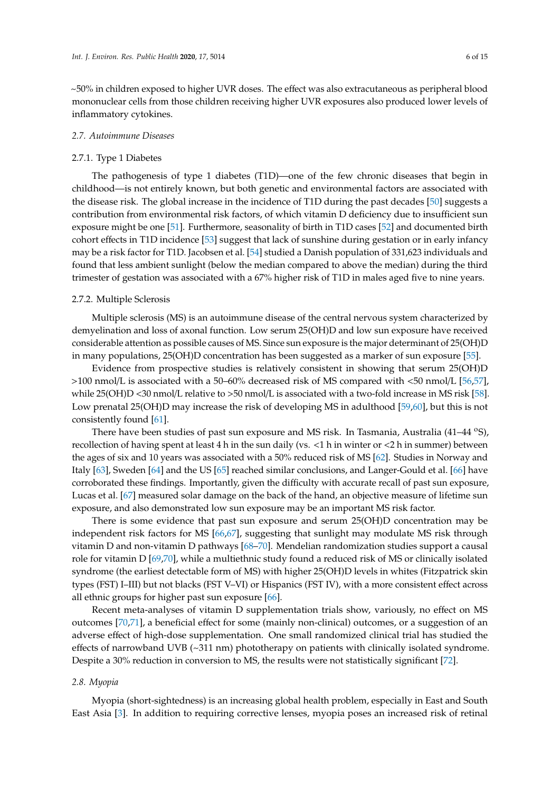~50% in children exposed to higher UVR doses. The effect was also extracutaneous as peripheral blood mononuclear cells from those children receiving higher UVR exposures also produced lower levels of inflammatory cytokines.

#### *2.7. Autoimmune Diseases*

# 2.7.1. Type 1 Diabetes

The pathogenesis of type 1 diabetes (T1D)—one of the few chronic diseases that begin in childhood—is not entirely known, but both genetic and environmental factors are associated with the disease risk. The global increase in the incidence of T1D during the past decades [\[50\]](#page-11-10) suggests a contribution from environmental risk factors, of which vitamin D deficiency due to insufficient sun exposure might be one [\[51\]](#page-11-11). Furthermore, seasonality of birth in T1D cases [\[52\]](#page-11-12) and documented birth cohort effects in T1D incidence [\[53\]](#page-11-13) suggest that lack of sunshine during gestation or in early infancy may be a risk factor for T1D. Jacobsen et al. [\[54\]](#page-11-14) studied a Danish population of 331,623 individuals and found that less ambient sunlight (below the median compared to above the median) during the third trimester of gestation was associated with a 67% higher risk of T1D in males aged five to nine years.

#### 2.7.2. Multiple Sclerosis

Multiple sclerosis (MS) is an autoimmune disease of the central nervous system characterized by demyelination and loss of axonal function. Low serum 25(OH)D and low sun exposure have received considerable attention as possible causes of MS. Since sun exposure is the major determinant of 25(OH)D in many populations, 25(OH)D concentration has been suggested as a marker of sun exposure [\[55\]](#page-11-15).

Evidence from prospective studies is relatively consistent in showing that serum 25(OH)D >100 nmol/L is associated with a 50–60% decreased risk of MS compared with <50 nmol/L [\[56,](#page-11-16)[57\]](#page-11-17), while 25(OH)D <30 nmol/L relative to >50 nmol/L is associated with a two-fold increase in MS risk [\[58\]](#page-11-18). Low prenatal 25(OH)D may increase the risk of developing MS in adulthood [\[59,](#page-12-0)[60\]](#page-12-1), but this is not consistently found [\[61\]](#page-12-2).

There have been studies of past sun exposure and MS risk. In Tasmania, Australia (41–44 °S), recollection of having spent at least 4 h in the sun daily (vs. <1 h in winter or <2 h in summer) between the ages of six and 10 years was associated with a 50% reduced risk of MS [\[62\]](#page-12-3). Studies in Norway and Italy [\[63\]](#page-12-4), Sweden [\[64\]](#page-12-5) and the US [\[65\]](#page-12-6) reached similar conclusions, and Langer-Gould et al. [\[66\]](#page-12-7) have corroborated these findings. Importantly, given the difficulty with accurate recall of past sun exposure, Lucas et al. [\[67\]](#page-12-8) measured solar damage on the back of the hand, an objective measure of lifetime sun exposure, and also demonstrated low sun exposure may be an important MS risk factor.

There is some evidence that past sun exposure and serum 25(OH)D concentration may be independent risk factors for MS [\[66](#page-12-7)[,67\]](#page-12-8), suggesting that sunlight may modulate MS risk through vitamin D and non-vitamin D pathways [\[68](#page-12-9)[–70\]](#page-12-10). Mendelian randomization studies support a causal role for vitamin D [\[69](#page-12-11)[,70\]](#page-12-10), while a multiethnic study found a reduced risk of MS or clinically isolated syndrome (the earliest detectable form of MS) with higher 25(OH)D levels in whites (Fitzpatrick skin types (FST) I–III) but not blacks (FST V–VI) or Hispanics (FST IV), with a more consistent effect across all ethnic groups for higher past sun exposure [\[66\]](#page-12-7).

Recent meta-analyses of vitamin D supplementation trials show, variously, no effect on MS outcomes [\[70](#page-12-10)[,71\]](#page-12-12), a beneficial effect for some (mainly non-clinical) outcomes, or a suggestion of an adverse effect of high-dose supplementation. One small randomized clinical trial has studied the effects of narrowband UVB (~311 nm) phototherapy on patients with clinically isolated syndrome. Despite a 30% reduction in conversion to MS, the results were not statistically significant [\[72\]](#page-12-13).

# *2.8. Myopia*

Myopia (short-sightedness) is an increasing global health problem, especially in East and South East Asia [\[3\]](#page-9-0). In addition to requiring corrective lenses, myopia poses an increased risk of retinal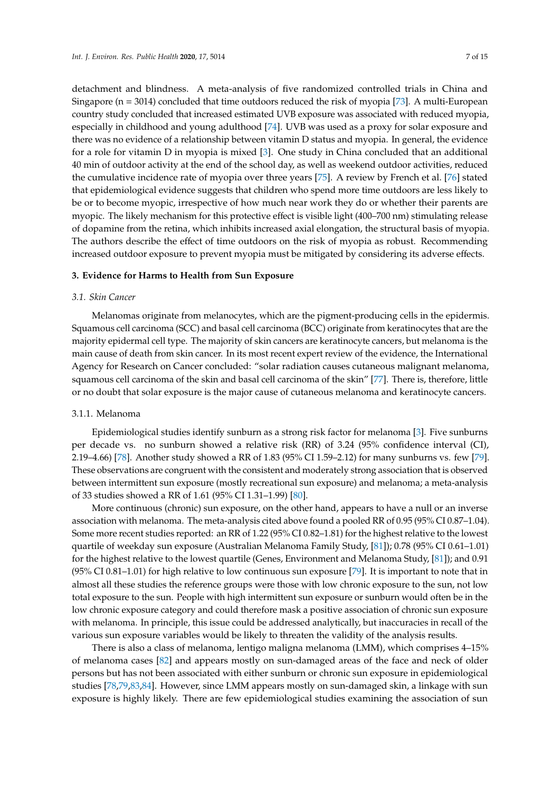detachment and blindness. A meta-analysis of five randomized controlled trials in China and Singapore ( $n = 3014$ ) concluded that time outdoors reduced the risk of myopia [\[73\]](#page-12-14). A multi-European country study concluded that increased estimated UVB exposure was associated with reduced myopia, especially in childhood and young adulthood [\[74\]](#page-12-15). UVB was used as a proxy for solar exposure and there was no evidence of a relationship between vitamin D status and myopia. In general, the evidence for a role for vitamin D in myopia is mixed [\[3\]](#page-9-0). One study in China concluded that an additional 40 min of outdoor activity at the end of the school day, as well as weekend outdoor activities, reduced the cumulative incidence rate of myopia over three years [\[75\]](#page-12-16). A review by French et al. [\[76\]](#page-12-17) stated that epidemiological evidence suggests that children who spend more time outdoors are less likely to be or to become myopic, irrespective of how much near work they do or whether their parents are myopic. The likely mechanism for this protective effect is visible light (400–700 nm) stimulating release of dopamine from the retina, which inhibits increased axial elongation, the structural basis of myopia. The authors describe the effect of time outdoors on the risk of myopia as robust. Recommending increased outdoor exposure to prevent myopia must be mitigated by considering its adverse effects.

#### **3. Evidence for Harms to Health from Sun Exposure**

#### *3.1. Skin Cancer*

Melanomas originate from melanocytes, which are the pigment-producing cells in the epidermis. Squamous cell carcinoma (SCC) and basal cell carcinoma (BCC) originate from keratinocytes that are the majority epidermal cell type. The majority of skin cancers are keratinocyte cancers, but melanoma is the main cause of death from skin cancer. In its most recent expert review of the evidence, the International Agency for Research on Cancer concluded: "solar radiation causes cutaneous malignant melanoma, squamous cell carcinoma of the skin and basal cell carcinoma of the skin" [\[77\]](#page-13-0). There is, therefore, little or no doubt that solar exposure is the major cause of cutaneous melanoma and keratinocyte cancers.

#### 3.1.1. Melanoma

Epidemiological studies identify sunburn as a strong risk factor for melanoma [\[3\]](#page-9-0). Five sunburns per decade vs. no sunburn showed a relative risk (RR) of 3.24 (95% confidence interval (CI), 2.19–4.66) [\[78\]](#page-13-1). Another study showed a RR of 1.83 (95% CI 1.59–2.12) for many sunburns vs. few [\[79\]](#page-13-2). These observations are congruent with the consistent and moderately strong association that is observed between intermittent sun exposure (mostly recreational sun exposure) and melanoma; a meta-analysis of 33 studies showed a RR of 1.61 (95% CI 1.31–1.99) [\[80\]](#page-13-3).

More continuous (chronic) sun exposure, on the other hand, appears to have a null or an inverse association with melanoma. The meta-analysis cited above found a pooled RR of 0.95 (95% CI 0.87–1.04). Some more recent studies reported: an RR of 1.22 (95% CI 0.82–1.81) for the highest relative to the lowest quartile of weekday sun exposure (Australian Melanoma Family Study, [\[81\]](#page-13-4)); 0.78 (95% CI 0.61–1.01) for the highest relative to the lowest quartile (Genes, Environment and Melanoma Study, [\[81\]](#page-13-4)); and 0.91 (95% CI 0.81–1.01) for high relative to low continuous sun exposure [\[79\]](#page-13-2). It is important to note that in almost all these studies the reference groups were those with low chronic exposure to the sun, not low total exposure to the sun. People with high intermittent sun exposure or sunburn would often be in the low chronic exposure category and could therefore mask a positive association of chronic sun exposure with melanoma. In principle, this issue could be addressed analytically, but inaccuracies in recall of the various sun exposure variables would be likely to threaten the validity of the analysis results.

There is also a class of melanoma, lentigo maligna melanoma (LMM), which comprises 4–15% of melanoma cases [\[82\]](#page-13-5) and appears mostly on sun-damaged areas of the face and neck of older persons but has not been associated with either sunburn or chronic sun exposure in epidemiological studies [\[78,](#page-13-1)[79,](#page-13-2)[83,](#page-13-6)[84\]](#page-13-7). However, since LMM appears mostly on sun-damaged skin, a linkage with sun exposure is highly likely. There are few epidemiological studies examining the association of sun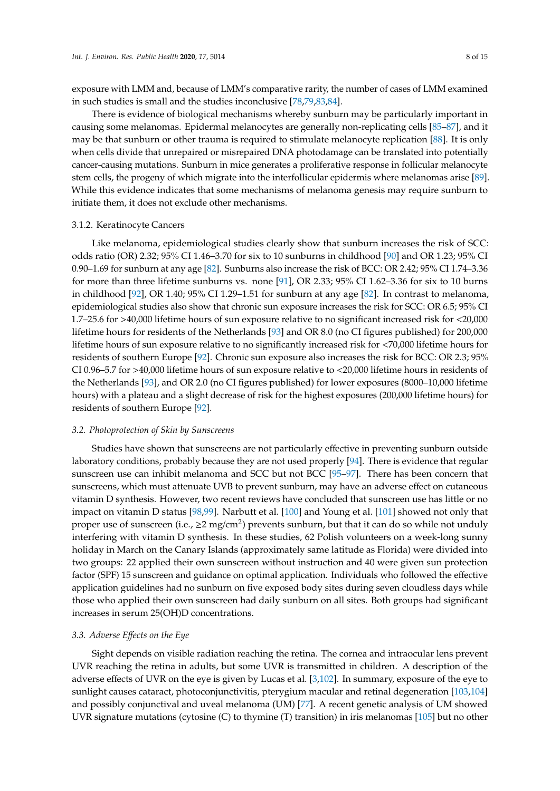exposure with LMM and, because of LMM's comparative rarity, the number of cases of LMM examined in such studies is small and the studies inconclusive [\[78,](#page-13-1)[79,](#page-13-2)[83,](#page-13-6)[84\]](#page-13-7).

There is evidence of biological mechanisms whereby sunburn may be particularly important in causing some melanomas. Epidermal melanocytes are generally non-replicating cells [\[85–](#page-13-8)[87\]](#page-13-9), and it may be that sunburn or other trauma is required to stimulate melanocyte replication [\[88\]](#page-13-10). It is only when cells divide that unrepaired or misrepaired DNA photodamage can be translated into potentially cancer-causing mutations. Sunburn in mice generates a proliferative response in follicular melanocyte stem cells, the progeny of which migrate into the interfollicular epidermis where melanomas arise [\[89\]](#page-13-11). While this evidence indicates that some mechanisms of melanoma genesis may require sunburn to initiate them, it does not exclude other mechanisms.

## 3.1.2. Keratinocyte Cancers

Like melanoma, epidemiological studies clearly show that sunburn increases the risk of SCC: odds ratio (OR) 2.32; 95% CI 1.46–3.70 for six to 10 sunburns in childhood [\[90\]](#page-13-12) and OR 1.23; 95% CI 0.90–1.69 for sunburn at any age [\[82\]](#page-13-5). Sunburns also increase the risk of BCC: OR 2.42; 95% CI 1.74–3.36 for more than three lifetime sunburns vs. none [\[91\]](#page-13-13), OR 2.33; 95% CI 1.62–3.36 for six to 10 burns in childhood [\[92\]](#page-13-14), OR 1.40; 95% CI 1.29–1.51 for sunburn at any age [\[82\]](#page-13-5). In contrast to melanoma, epidemiological studies also show that chronic sun exposure increases the risk for SCC: OR 6.5; 95% CI 1.7–25.6 for >40,000 lifetime hours of sun exposure relative to no significant increased risk for <20,000 lifetime hours for residents of the Netherlands [\[93\]](#page-13-15) and OR 8.0 (no CI figures published) for 200,000 lifetime hours of sun exposure relative to no significantly increased risk for <70,000 lifetime hours for residents of southern Europe [\[92\]](#page-13-14). Chronic sun exposure also increases the risk for BCC: OR 2.3; 95% CI 0.96–5.7 for >40,000 lifetime hours of sun exposure relative to <20,000 lifetime hours in residents of the Netherlands [\[93\]](#page-13-15), and OR 2.0 (no CI figures published) for lower exposures (8000–10,000 lifetime hours) with a plateau and a slight decrease of risk for the highest exposures (200,000 lifetime hours) for residents of southern Europe [\[92\]](#page-13-14).

## *3.2. Photoprotection of Skin by Sunscreens*

Studies have shown that sunscreens are not particularly effective in preventing sunburn outside laboratory conditions, probably because they are not used properly [\[94\]](#page-13-16). There is evidence that regular sunscreen use can inhibit melanoma and SCC but not BCC [\[95](#page-13-17)[–97\]](#page-14-0). There has been concern that sunscreens, which must attenuate UVB to prevent sunburn, may have an adverse effect on cutaneous vitamin D synthesis. However, two recent reviews have concluded that sunscreen use has little or no impact on vitamin D status [\[98](#page-14-1)[,99\]](#page-14-2). Narbutt et al. [\[100\]](#page-14-3) and Young et al. [\[101\]](#page-14-4) showed not only that proper use of sunscreen (i.e.,  $\geq$ 2 mg/cm<sup>2</sup>) prevents sunburn, but that it can do so while not unduly interfering with vitamin D synthesis. In these studies, 62 Polish volunteers on a week-long sunny holiday in March on the Canary Islands (approximately same latitude as Florida) were divided into two groups: 22 applied their own sunscreen without instruction and 40 were given sun protection factor (SPF) 15 sunscreen and guidance on optimal application. Individuals who followed the effective application guidelines had no sunburn on five exposed body sites during seven cloudless days while those who applied their own sunscreen had daily sunburn on all sites. Both groups had significant increases in serum 25(OH)D concentrations.

# *3.3. Adverse E*ff*ects on the Eye*

Sight depends on visible radiation reaching the retina. The cornea and intraocular lens prevent UVR reaching the retina in adults, but some UVR is transmitted in children. A description of the adverse effects of UVR on the eye is given by Lucas et al. [\[3](#page-9-0)[,102\]](#page-14-5). In summary, exposure of the eye to sunlight causes cataract, photoconjunctivitis, pterygium macular and retinal degeneration [\[103](#page-14-6)[,104\]](#page-14-7) and possibly conjunctival and uveal melanoma (UM) [\[77\]](#page-13-0). A recent genetic analysis of UM showed UVR signature mutations (cytosine (C) to thymine (T) transition) in iris melanomas [\[105\]](#page-14-8) but no other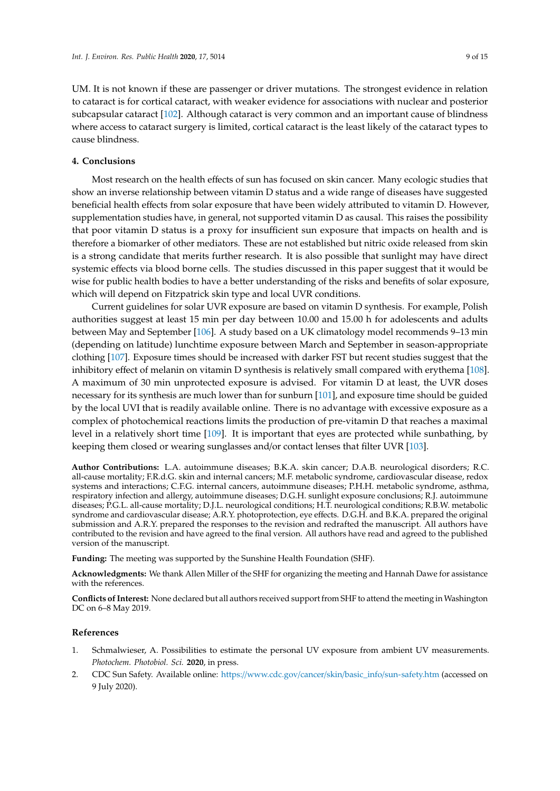UM. It is not known if these are passenger or driver mutations. The strongest evidence in relation to cataract is for cortical cataract, with weaker evidence for associations with nuclear and posterior subcapsular cataract [\[102\]](#page-14-5). Although cataract is very common and an important cause of blindness where access to cataract surgery is limited, cortical cataract is the least likely of the cataract types to cause blindness.

# **4. Conclusions**

Most research on the health effects of sun has focused on skin cancer. Many ecologic studies that show an inverse relationship between vitamin D status and a wide range of diseases have suggested beneficial health effects from solar exposure that have been widely attributed to vitamin D. However, supplementation studies have, in general, not supported vitamin D as causal. This raises the possibility that poor vitamin D status is a proxy for insufficient sun exposure that impacts on health and is therefore a biomarker of other mediators. These are not established but nitric oxide released from skin is a strong candidate that merits further research. It is also possible that sunlight may have direct systemic effects via blood borne cells. The studies discussed in this paper suggest that it would be wise for public health bodies to have a better understanding of the risks and benefits of solar exposure, which will depend on Fitzpatrick skin type and local UVR conditions.

Current guidelines for solar UVR exposure are based on vitamin D synthesis. For example, Polish authorities suggest at least 15 min per day between 10.00 and 15.00 h for adolescents and adults between May and September [\[106\]](#page-14-9). A study based on a UK climatology model recommends 9–13 min (depending on latitude) lunchtime exposure between March and September in season-appropriate clothing [\[107\]](#page-14-10). Exposure times should be increased with darker FST but recent studies suggest that the inhibitory effect of melanin on vitamin D synthesis is relatively small compared with erythema [\[108\]](#page-14-11). A maximum of 30 min unprotected exposure is advised. For vitamin D at least, the UVR doses necessary for its synthesis are much lower than for sunburn [\[101\]](#page-14-4), and exposure time should be guided by the local UVI that is readily available online. There is no advantage with excessive exposure as a complex of photochemical reactions limits the production of pre-vitamin D that reaches a maximal level in a relatively short time [\[109\]](#page-14-12). It is important that eyes are protected while sunbathing, by keeping them closed or wearing sunglasses and/or contact lenses that filter UVR [\[103\]](#page-14-6).

**Author Contributions:** L.A. autoimmune diseases; B.K.A. skin cancer; D.A.B. neurological disorders; R.C. all-cause mortality; F.R.d.G. skin and internal cancers; M.F. metabolic syndrome, cardiovascular disease, redox systems and interactions; C.F.G. internal cancers, autoimmune diseases; P.H.H. metabolic syndrome, asthma, respiratory infection and allergy, autoimmune diseases; D.G.H. sunlight exposure conclusions; R.J. autoimmune diseases; P.G.L. all-cause mortality; D.J.L. neurological conditions; H.T. neurological conditions; R.B.W. metabolic syndrome and cardiovascular disease; A.R.Y. photoprotection, eye effects. D.G.H. and B.K.A. prepared the original submission and A.R.Y. prepared the responses to the revision and redrafted the manuscript. All authors have contributed to the revision and have agreed to the final version. All authors have read and agreed to the published version of the manuscript.

**Funding:** The meeting was supported by the Sunshine Health Foundation (SHF).

**Acknowledgments:** We thank Allen Miller of the SHF for organizing the meeting and Hannah Dawe for assistance with the references.

**Conflicts of Interest:** None declared but all authors received support from SHF to attend the meeting in Washington DC on 6–8 May 2019.

# **References**

- <span id="page-8-0"></span>1. Schmalwieser, A. Possibilities to estimate the personal UV exposure from ambient UV measurements. *Photochem. Photobiol. Sci.* **2020**, in press.
- <span id="page-8-1"></span>2. CDC Sun Safety. Available online: https://www.cdc.gov/cancer/skin/basic\_info/[sun-safety.htm](https://www.cdc.gov/cancer/skin/basic_info/sun-safety.htm) (accessed on 9 July 2020).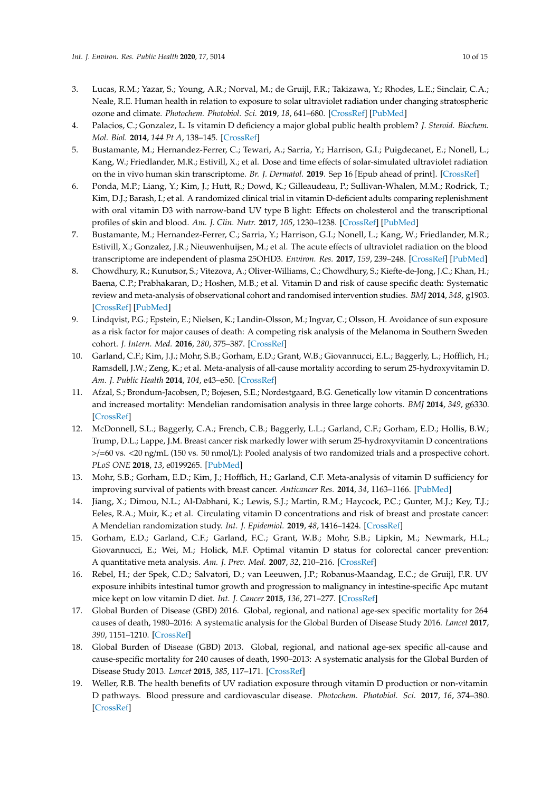- <span id="page-9-0"></span>3. Lucas, R.M.; Yazar, S.; Young, A.R.; Norval, M.; de Gruijl, F.R.; Takizawa, Y.; Rhodes, L.E.; Sinclair, C.A.; Neale, R.E. Human health in relation to exposure to solar ultraviolet radiation under changing stratospheric ozone and climate. *Photochem. Photobiol. Sci.* **2019**, *18*, 641–680. [\[CrossRef\]](http://dx.doi.org/10.1039/C8PP90060D) [\[PubMed\]](http://www.ncbi.nlm.nih.gov/pubmed/30810559)
- <span id="page-9-1"></span>4. Palacios, C.; Gonzalez, L. Is vitamin D deficiency a major global public health problem? *J. Steroid. Biochem. Mol. Biol.* **2014**, *144 Pt A*, 138–145. [\[CrossRef\]](http://dx.doi.org/10.1016/j.jsbmb.2013.11.003)
- <span id="page-9-2"></span>5. Bustamante, M.; Hernandez-Ferrer, C.; Tewari, A.; Sarria, Y.; Harrison, G.I.; Puigdecanet, E.; Nonell, L.; Kang, W.; Friedlander, M.R.; Estivill, X.; et al. Dose and time effects of solar-simulated ultraviolet radiation on the in vivo human skin transcriptome. *Br. J. Dermatol.* **2019**. Sep 16 [Epub ahead of print]. [\[CrossRef\]](http://dx.doi.org/10.1111/bjd.18527)
- <span id="page-9-3"></span>6. Ponda, M.P.; Liang, Y.; Kim, J.; Hutt, R.; Dowd, K.; Gilleaudeau, P.; Sullivan-Whalen, M.M.; Rodrick, T.; Kim, D.J.; Barash, I.; et al. A randomized clinical trial in vitamin D-deficient adults comparing replenishment with oral vitamin D3 with narrow-band UV type B light: Effects on cholesterol and the transcriptional profiles of skin and blood. *Am. J. Clin. Nutr.* **2017**, *105*, 1230–1238. [\[CrossRef\]](http://dx.doi.org/10.3945/ajcn.116.150367) [\[PubMed\]](http://www.ncbi.nlm.nih.gov/pubmed/28228421)
- <span id="page-9-4"></span>7. Bustamante, M.; Hernandez-Ferrer, C.; Sarria, Y.; Harrison, G.I.; Nonell, L.; Kang, W.; Friedlander, M.R.; Estivill, X.; Gonzalez, J.R.; Nieuwenhuijsen, M.; et al. The acute effects of ultraviolet radiation on the blood transcriptome are independent of plasma 25OHD3. *Environ. Res.* **2017**, *159*, 239–248. [\[CrossRef\]](http://dx.doi.org/10.1016/j.envres.2017.07.045) [\[PubMed\]](http://www.ncbi.nlm.nih.gov/pubmed/28822308)
- <span id="page-9-5"></span>8. Chowdhury, R.; Kunutsor, S.; Vitezova, A.; Oliver-Williams, C.; Chowdhury, S.; Kiefte-de-Jong, J.C.; Khan, H.; Baena, C.P.; Prabhakaran, D.; Hoshen, M.B.; et al. Vitamin D and risk of cause specific death: Systematic review and meta-analysis of observational cohort and randomised intervention studies. *BMJ* **2014**, *348*, g1903. [\[CrossRef\]](http://dx.doi.org/10.1136/bmj.g1903) [\[PubMed\]](http://www.ncbi.nlm.nih.gov/pubmed/24690623)
- <span id="page-9-6"></span>9. Lindqvist, P.G.; Epstein, E.; Nielsen, K.; Landin-Olsson, M.; Ingvar, C.; Olsson, H. Avoidance of sun exposure as a risk factor for major causes of death: A competing risk analysis of the Melanoma in Southern Sweden cohort. *J. Intern. Med.* **2016**, *280*, 375–387. [\[CrossRef\]](http://dx.doi.org/10.1111/joim.12496)
- <span id="page-9-7"></span>10. Garland, C.F.; Kim, J.J.; Mohr, S.B.; Gorham, E.D.; Grant, W.B.; Giovannucci, E.L.; Baggerly, L.; Hofflich, H.; Ramsdell, J.W.; Zeng, K.; et al. Meta-analysis of all-cause mortality according to serum 25-hydroxyvitamin D. *Am. J. Public Health* **2014**, *104*, e43–e50. [\[CrossRef\]](http://dx.doi.org/10.2105/AJPH.2014.302034)
- <span id="page-9-8"></span>11. Afzal, S.; Brondum-Jacobsen, P.; Bojesen, S.E.; Nordestgaard, B.G. Genetically low vitamin D concentrations and increased mortality: Mendelian randomisation analysis in three large cohorts. *BMJ* **2014**, *349*, g6330. [\[CrossRef\]](http://dx.doi.org/10.1136/bmj.g6330)
- <span id="page-9-9"></span>12. McDonnell, S.L.; Baggerly, C.A.; French, C.B.; Baggerly, L.L.; Garland, C.F.; Gorham, E.D.; Hollis, B.W.; Trump, D.L.; Lappe, J.M. Breast cancer risk markedly lower with serum 25-hydroxyvitamin D concentrations >/=60 vs. <20 ng/mL (150 vs. 50 nmol/L): Pooled analysis of two randomized trials and a prospective cohort. *PLoS ONE* **2018**, *13*, e0199265. [\[PubMed\]](http://www.ncbi.nlm.nih.gov/pubmed/29906273)
- <span id="page-9-10"></span>13. Mohr, S.B.; Gorham, E.D.; Kim, J.; Hofflich, H.; Garland, C.F. Meta-analysis of vitamin D sufficiency for improving survival of patients with breast cancer. *Anticancer Res.* **2014**, *34*, 1163–1166. [\[PubMed\]](http://www.ncbi.nlm.nih.gov/pubmed/24596354)
- <span id="page-9-11"></span>14. Jiang, X.; Dimou, N.L.; Al-Dabhani, K.; Lewis, S.J.; Martin, R.M.; Haycock, P.C.; Gunter, M.J.; Key, T.J.; Eeles, R.A.; Muir, K.; et al. Circulating vitamin D concentrations and risk of breast and prostate cancer: A Mendelian randomization study. *Int. J. Epidemiol.* **2019**, *48*, 1416–1424. [\[CrossRef\]](http://dx.doi.org/10.1093/ije/dyy284)
- <span id="page-9-12"></span>15. Gorham, E.D.; Garland, C.F.; Garland, F.C.; Grant, W.B.; Mohr, S.B.; Lipkin, M.; Newmark, H.L.; Giovannucci, E.; Wei, M.; Holick, M.F. Optimal vitamin D status for colorectal cancer prevention: A quantitative meta analysis. *Am. J. Prev. Med.* **2007**, *32*, 210–216. [\[CrossRef\]](http://dx.doi.org/10.1016/j.amepre.2006.11.004)
- <span id="page-9-13"></span>16. Rebel, H.; der Spek, C.D.; Salvatori, D.; van Leeuwen, J.P.; Robanus-Maandag, E.C.; de Gruijl, F.R. UV exposure inhibits intestinal tumor growth and progression to malignancy in intestine-specific Apc mutant mice kept on low vitamin D diet. *Int. J. Cancer* **2015**, *136*, 271–277. [\[CrossRef\]](http://dx.doi.org/10.1002/ijc.29002)
- <span id="page-9-14"></span>17. Global Burden of Disease (GBD) 2016. Global, regional, and national age-sex specific mortality for 264 causes of death, 1980–2016: A systematic analysis for the Global Burden of Disease Study 2016. *Lancet* **2017**, *390*, 1151–1210. [\[CrossRef\]](http://dx.doi.org/10.1016/S0140-6736(17)32152-9)
- <span id="page-9-15"></span>18. Global Burden of Disease (GBD) 2013. Global, regional, and national age-sex specific all-cause and cause-specific mortality for 240 causes of death, 1990–2013: A systematic analysis for the Global Burden of Disease Study 2013. *Lancet* **2015**, *385*, 117–171. [\[CrossRef\]](http://dx.doi.org/10.1016/S0140-6736(14)61682-2)
- <span id="page-9-16"></span>19. Weller, R.B. The health benefits of UV radiation exposure through vitamin D production or non-vitamin D pathways. Blood pressure and cardiovascular disease. *Photochem. Photobiol. Sci.* **2017**, *16*, 374–380. [\[CrossRef\]](http://dx.doi.org/10.1039/C6PP00336B)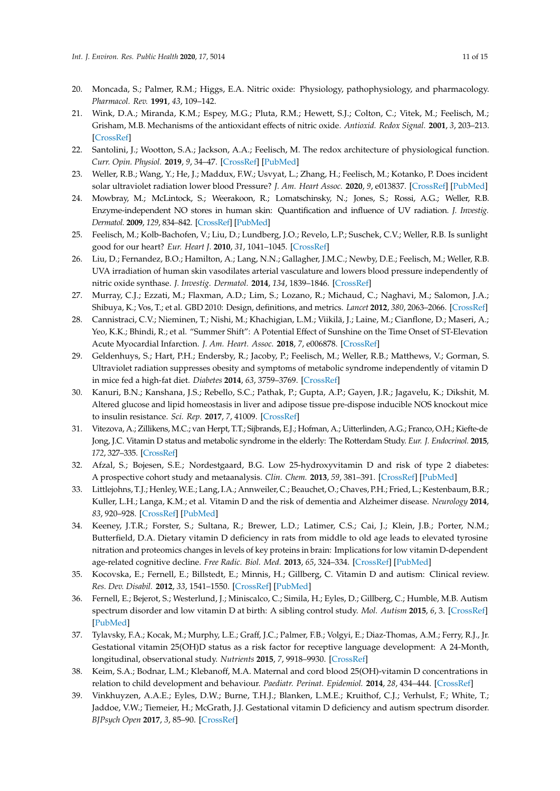- <span id="page-10-0"></span>20. Moncada, S.; Palmer, R.M.; Higgs, E.A. Nitric oxide: Physiology, pathophysiology, and pharmacology. *Pharmacol. Rev.* **1991**, *43*, 109–142.
- <span id="page-10-1"></span>21. Wink, D.A.; Miranda, K.M.; Espey, M.G.; Pluta, R.M.; Hewett, S.J.; Colton, C.; Vitek, M.; Feelisch, M.; Grisham, M.B. Mechanisms of the antioxidant effects of nitric oxide. *Antioxid. Redox Signal.* **2001**, *3*, 203–213. [\[CrossRef\]](http://dx.doi.org/10.1089/152308601300185179)
- 22. Santolini, J.; Wootton, S.A.; Jackson, A.A.; Feelisch, M. The redox architecture of physiological function. *Curr. Opin. Physiol.* **2019**, *9*, 34–47. [\[CrossRef\]](http://dx.doi.org/10.1016/j.cophys.2019.04.009) [\[PubMed\]](http://www.ncbi.nlm.nih.gov/pubmed/31417975)
- <span id="page-10-2"></span>23. Weller, R.B.; Wang, Y.; He, J.; Maddux, F.W.; Usvyat, L.; Zhang, H.; Feelisch, M.; Kotanko, P. Does incident solar ultraviolet radiation lower blood Pressure? *J. Am. Heart Assoc.* **2020**, *9*, e013837. [\[CrossRef\]](http://dx.doi.org/10.1161/JAHA.119.013837) [\[PubMed\]](http://www.ncbi.nlm.nih.gov/pubmed/32106744)
- <span id="page-10-3"></span>24. Mowbray, M.; McLintock, S.; Weerakoon, R.; Lomatschinsky, N.; Jones, S.; Rossi, A.G.; Weller, R.B. Enzyme-independent NO stores in human skin: Quantification and influence of UV radiation. *J. Investig. Dermatol.* **2009**, *129*, 834–842. [\[CrossRef\]](http://dx.doi.org/10.1038/jid.2008.296) [\[PubMed\]](http://www.ncbi.nlm.nih.gov/pubmed/18818674)
- <span id="page-10-4"></span>25. Feelisch, M.; Kolb-Bachofen, V.; Liu, D.; Lundberg, J.O.; Revelo, L.P.; Suschek, C.V.; Weller, R.B. Is sunlight good for our heart? *Eur. Heart J.* **2010**, *31*, 1041–1045. [\[CrossRef\]](http://dx.doi.org/10.1093/eurheartj/ehq069)
- <span id="page-10-5"></span>26. Liu, D.; Fernandez, B.O.; Hamilton, A.; Lang, N.N.; Gallagher, J.M.C.; Newby, D.E.; Feelisch, M.; Weller, R.B. UVA irradiation of human skin vasodilates arterial vasculature and lowers blood pressure independently of nitric oxide synthase. *J. Investig. Dermatol.* **2014**, *134*, 1839–1846. [\[CrossRef\]](http://dx.doi.org/10.1038/jid.2014.27)
- <span id="page-10-6"></span>27. Murray, C.J.; Ezzati, M.; Flaxman, A.D.; Lim, S.; Lozano, R.; Michaud, C.; Naghavi, M.; Salomon, J.A.; Shibuya, K.; Vos, T.; et al. GBD 2010: Design, definitions, and metrics. *Lancet* **2012**, *380*, 2063–2066. [\[CrossRef\]](http://dx.doi.org/10.1016/S0140-6736(12)61899-6)
- <span id="page-10-7"></span>28. Cannistraci, C.V.; Nieminen, T.; Nishi, M.; Khachigian, L.M.; Viikilä, J.; Laine, M.; Cianflone, D.; Maseri, A.; Yeo, K.K.; Bhindi, R.; et al. "Summer Shift": A Potential Effect of Sunshine on the Time Onset of ST-Elevation Acute Myocardial Infarction. *J. Am. Heart. Assoc.* **2018**, *7*, e006878. [\[CrossRef\]](http://dx.doi.org/10.1161/JAHA.117.006878)
- <span id="page-10-8"></span>29. Geldenhuys, S.; Hart, P.H.; Endersby, R.; Jacoby, P.; Feelisch, M.; Weller, R.B.; Matthews, V.; Gorman, S. Ultraviolet radiation suppresses obesity and symptoms of metabolic syndrome independently of vitamin D in mice fed a high-fat diet. *Diabetes* **2014**, *63*, 3759–3769. [\[CrossRef\]](http://dx.doi.org/10.2337/db13-1675)
- <span id="page-10-9"></span>30. Kanuri, B.N.; Kanshana, J.S.; Rebello, S.C.; Pathak, P.; Gupta, A.P.; Gayen, J.R.; Jagavelu, K.; Dikshit, M. Altered glucose and lipid homeostasis in liver and adipose tissue pre-dispose inducible NOS knockout mice to insulin resistance. *Sci. Rep.* **2017**, *7*, 41009. [\[CrossRef\]](http://dx.doi.org/10.1038/srep41009)
- <span id="page-10-10"></span>31. Vitezova, A.; Zillikens, M.C.; van Herpt, T.T.; Sijbrands, E.J.; Hofman, A.; Uitterlinden, A.G.; Franco, O.H.; Kiefte-de Jong, J.C. Vitamin D status and metabolic syndrome in the elderly: The Rotterdam Study. *Eur. J. Endocrinol.* **2015**, *172*, 327–335. [\[CrossRef\]](http://dx.doi.org/10.1530/EJE-14-0580)
- <span id="page-10-11"></span>32. Afzal, S.; Bojesen, S.E.; Nordestgaard, B.G. Low 25-hydroxyvitamin D and risk of type 2 diabetes: A prospective cohort study and metaanalysis. *Clin. Chem.* **2013**, *59*, 381–391. [\[CrossRef\]](http://dx.doi.org/10.1373/clinchem.2012.193003) [\[PubMed\]](http://www.ncbi.nlm.nih.gov/pubmed/23232064)
- <span id="page-10-12"></span>33. Littlejohns, T.J.; Henley, W.E.; Lang, I.A.; Annweiler, C.; Beauchet, O.; Chaves, P.H.; Fried, L.; Kestenbaum, B.R.; Kuller, L.H.; Langa, K.M.; et al. Vitamin D and the risk of dementia and Alzheimer disease. *Neurology* **2014**, *83*, 920–928. [\[CrossRef\]](http://dx.doi.org/10.1212/WNL.0000000000000755) [\[PubMed\]](http://www.ncbi.nlm.nih.gov/pubmed/25098535)
- <span id="page-10-13"></span>34. Keeney, J.T.R.; Forster, S.; Sultana, R.; Brewer, L.D.; Latimer, C.S.; Cai, J.; Klein, J.B.; Porter, N.M.; Butterfield, D.A. Dietary vitamin D deficiency in rats from middle to old age leads to elevated tyrosine nitration and proteomics changes in levels of key proteins in brain: Implications for low vitamin D-dependent age-related cognitive decline. *Free Radic. Biol. Med.* **2013**, *65*, 324–334. [\[CrossRef\]](http://dx.doi.org/10.1016/j.freeradbiomed.2013.07.019) [\[PubMed\]](http://www.ncbi.nlm.nih.gov/pubmed/23872023)
- <span id="page-10-14"></span>35. Kocovska, E.; Fernell, E.; Billstedt, E.; Minnis, H.; Gillberg, C. Vitamin D and autism: Clinical review. *Res. Dev. Disabil.* **2012**, *33*, 1541–1550. [\[CrossRef\]](http://dx.doi.org/10.1016/j.ridd.2012.02.015) [\[PubMed\]](http://www.ncbi.nlm.nih.gov/pubmed/22522213)
- <span id="page-10-15"></span>36. Fernell, E.; Bejerot, S.; Westerlund, J.; Miniscalco, C.; Simila, H.; Eyles, D.; Gillberg, C.; Humble, M.B. Autism spectrum disorder and low vitamin D at birth: A sibling control study. *Mol. Autism* **2015**, *6*, 3. [\[CrossRef\]](http://dx.doi.org/10.1186/2040-2392-6-3) [\[PubMed\]](http://www.ncbi.nlm.nih.gov/pubmed/25874075)
- <span id="page-10-16"></span>37. Tylavsky, F.A.; Kocak, M.; Murphy, L.E.; Graff, J.C.; Palmer, F.B.; Volgyi, E.; Diaz-Thomas, A.M.; Ferry, R.J., Jr. Gestational vitamin 25(OH)D status as a risk factor for receptive language development: A 24-Month, longitudinal, observational study. *Nutrients* **2015**, *7*, 9918–9930. [\[CrossRef\]](http://dx.doi.org/10.3390/nu7125499)
- <span id="page-10-17"></span>38. Keim, S.A.; Bodnar, L.M.; Klebanoff, M.A. Maternal and cord blood 25(OH)-vitamin D concentrations in relation to child development and behaviour. *Paediatr. Perinat. Epidemiol.* **2014**, *28*, 434–444. [\[CrossRef\]](http://dx.doi.org/10.1111/ppe.12135)
- <span id="page-10-18"></span>39. Vinkhuyzen, A.A.E.; Eyles, D.W.; Burne, T.H.J.; Blanken, L.M.E.; Kruithof, C.J.; Verhulst, F.; White, T.; Jaddoe, V.W.; Tiemeier, H.; McGrath, J.J. Gestational vitamin D deficiency and autism spectrum disorder. *BJPsych Open* **2017**, *3*, 85–90. [\[CrossRef\]](http://dx.doi.org/10.1192/bjpo.bp.116.004077)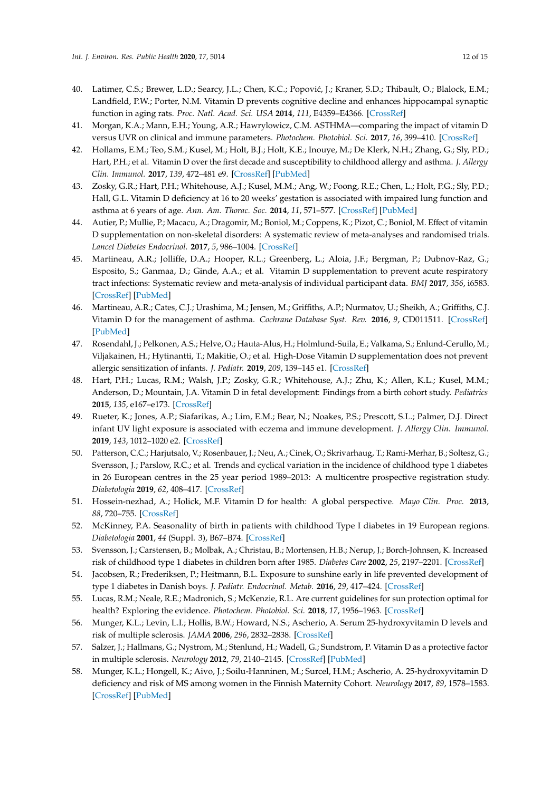- <span id="page-11-0"></span>40. Latimer, C.S.; Brewer, L.D.; Searcy, J.L.; Chen, K.C.; Popović, J.; Kraner, S.D.; Thibault, O.; Blalock, E.M.; Landfield, P.W.; Porter, N.M. Vitamin D prevents cognitive decline and enhances hippocampal synaptic function in aging rats. *Proc. Natl. Acad. Sci. USA* **2014**, *111*, E4359–E4366. [\[CrossRef\]](http://dx.doi.org/10.1073/pnas.1404477111)
- <span id="page-11-1"></span>41. Morgan, K.A.; Mann, E.H.; Young, A.R.; Hawrylowicz, C.M. ASTHMA—comparing the impact of vitamin D versus UVR on clinical and immune parameters. *Photochem. Photobiol. Sci.* **2017**, *16*, 399–410. [\[CrossRef\]](http://dx.doi.org/10.1039/C6PP00407E)
- <span id="page-11-2"></span>42. Hollams, E.M.; Teo, S.M.; Kusel, M.; Holt, B.J.; Holt, K.E.; Inouye, M.; De Klerk, N.H.; Zhang, G.; Sly, P.D.; Hart, P.H.; et al. Vitamin D over the first decade and susceptibility to childhood allergy and asthma. *J. Allergy Clin. Immunol.* **2017**, *139*, 472–481 e9. [\[CrossRef\]](http://dx.doi.org/10.1016/j.jaci.2016.07.032) [\[PubMed\]](http://www.ncbi.nlm.nih.gov/pubmed/27726947)
- <span id="page-11-3"></span>43. Zosky, G.R.; Hart, P.H.; Whitehouse, A.J.; Kusel, M.M.; Ang, W.; Foong, R.E.; Chen, L.; Holt, P.G.; Sly, P.D.; Hall, G.L. Vitamin D deficiency at 16 to 20 weeks' gestation is associated with impaired lung function and asthma at 6 years of age. *Ann. Am. Thorac. Soc.* **2014**, *11*, 571–577. [\[CrossRef\]](http://dx.doi.org/10.1513/AnnalsATS.201312-423OC) [\[PubMed\]](http://www.ncbi.nlm.nih.gov/pubmed/24601713)
- <span id="page-11-4"></span>44. Autier, P.; Mullie, P.; Macacu, A.; Dragomir, M.; Boniol, M.; Coppens, K.; Pizot, C.; Boniol, M. Effect of vitamin D supplementation on non-skeletal disorders: A systematic review of meta-analyses and randomised trials. *Lancet Diabetes Endocrinol.* **2017**, *5*, 986–1004. [\[CrossRef\]](http://dx.doi.org/10.1016/S2213-8587(17)30357-1)
- <span id="page-11-5"></span>45. Martineau, A.R.; Jolliffe, D.A.; Hooper, R.L.; Greenberg, L.; Aloia, J.F.; Bergman, P.; Dubnov-Raz, G.; Esposito, S.; Ganmaa, D.; Ginde, A.A.; et al. Vitamin D supplementation to prevent acute respiratory tract infections: Systematic review and meta-analysis of individual participant data. *BMJ* **2017**, *356*, i6583. [\[CrossRef\]](http://dx.doi.org/10.1136/bmj.i6583) [\[PubMed\]](http://www.ncbi.nlm.nih.gov/pubmed/28202713)
- <span id="page-11-6"></span>46. Martineau, A.R.; Cates, C.J.; Urashima, M.; Jensen, M.; Griffiths, A.P.; Nurmatov, U.; Sheikh, A.; Griffiths, C.J. Vitamin D for the management of asthma. *Cochrane Database Syst. Rev.* **2016**, *9*, CD011511. [\[CrossRef\]](http://dx.doi.org/10.1002/14651858.CD011511.pub2) [\[PubMed\]](http://www.ncbi.nlm.nih.gov/pubmed/27595415)
- <span id="page-11-7"></span>47. Rosendahl, J.; Pelkonen, A.S.; Helve, O.; Hauta-Alus, H.; Holmlund-Suila, E.; Valkama, S.; Enlund-Cerullo, M.; Viljakainen, H.; Hytinantti, T.; Makitie, O.; et al. High-Dose Vitamin D supplementation does not prevent allergic sensitization of infants. *J. Pediatr.* **2019**, *209*, 139–145 e1. [\[CrossRef\]](http://dx.doi.org/10.1016/j.jpeds.2019.02.021)
- <span id="page-11-8"></span>48. Hart, P.H.; Lucas, R.M.; Walsh, J.P.; Zosky, G.R.; Whitehouse, A.J.; Zhu, K.; Allen, K.L.; Kusel, M.M.; Anderson, D.; Mountain, J.A. Vitamin D in fetal development: Findings from a birth cohort study. *Pediatrics* **2015**, *135*, e167–e173. [\[CrossRef\]](http://dx.doi.org/10.1542/peds.2014-1860)
- <span id="page-11-9"></span>49. Rueter, K.; Jones, A.P.; Siafarikas, A.; Lim, E.M.; Bear, N.; Noakes, P.S.; Prescott, S.L.; Palmer, D.J. Direct infant UV light exposure is associated with eczema and immune development. *J. Allergy Clin. Immunol.* **2019**, *143*, 1012–1020 e2. [\[CrossRef\]](http://dx.doi.org/10.1016/j.jaci.2018.08.037)
- <span id="page-11-10"></span>50. Patterson, C.C.; Harjutsalo, V.; Rosenbauer, J.; Neu, A.; Cinek, O.; Skrivarhaug, T.; Rami-Merhar, B.; Soltesz, G.; Svensson, J.; Parslow, R.C.; et al. Trends and cyclical variation in the incidence of childhood type 1 diabetes in 26 European centres in the 25 year period 1989–2013: A multicentre prospective registration study. *Diabetologia* **2019**, *62*, 408–417. [\[CrossRef\]](http://dx.doi.org/10.1007/s00125-018-4763-3)
- <span id="page-11-11"></span>51. Hossein-nezhad, A.; Holick, M.F. Vitamin D for health: A global perspective. *Mayo Clin. Proc.* **2013**, *88*, 720–755. [\[CrossRef\]](http://dx.doi.org/10.1016/j.mayocp.2013.05.011)
- <span id="page-11-12"></span>52. McKinney, P.A. Seasonality of birth in patients with childhood Type I diabetes in 19 European regions. *Diabetologia* **2001**, *44* (Suppl. 3), B67–B74. [\[CrossRef\]](http://dx.doi.org/10.1007/PL00002957)
- <span id="page-11-13"></span>53. Svensson, J.; Carstensen, B.; Molbak, A.; Christau, B.; Mortensen, H.B.; Nerup, J.; Borch-Johnsen, K. Increased risk of childhood type 1 diabetes in children born after 1985. *Diabetes Care* **2002**, *25*, 2197–2201. [\[CrossRef\]](http://dx.doi.org/10.2337/diacare.25.12.2197)
- <span id="page-11-14"></span>54. Jacobsen, R.; Frederiksen, P.; Heitmann, B.L. Exposure to sunshine early in life prevented development of type 1 diabetes in Danish boys. *J. Pediatr. Endocrinol. Metab.* **2016**, *29*, 417–424. [\[CrossRef\]](http://dx.doi.org/10.1515/jpem-2015-0393)
- <span id="page-11-15"></span>55. Lucas, R.M.; Neale, R.E.; Madronich, S.; McKenzie, R.L. Are current guidelines for sun protection optimal for health? Exploring the evidence. *Photochem. Photobiol. Sci.* **2018**, *17*, 1956–1963. [\[CrossRef\]](http://dx.doi.org/10.1039/C7PP00374A)
- <span id="page-11-16"></span>56. Munger, K.L.; Levin, L.I.; Hollis, B.W.; Howard, N.S.; Ascherio, A. Serum 25-hydroxyvitamin D levels and risk of multiple sclerosis. *JAMA* **2006**, *296*, 2832–2838. [\[CrossRef\]](http://dx.doi.org/10.1001/jama.296.23.2832)
- <span id="page-11-17"></span>57. Salzer, J.; Hallmans, G.; Nystrom, M.; Stenlund, H.; Wadell, G.; Sundstrom, P. Vitamin D as a protective factor in multiple sclerosis. *Neurology* **2012**, *79*, 2140–2145. [\[CrossRef\]](http://dx.doi.org/10.1212/WNL.0b013e3182752ea8) [\[PubMed\]](http://www.ncbi.nlm.nih.gov/pubmed/23170011)
- <span id="page-11-18"></span>58. Munger, K.L.; Hongell, K.; Aivo, J.; Soilu-Hanninen, M.; Surcel, H.M.; Ascherio, A. 25-hydroxyvitamin D deficiency and risk of MS among women in the Finnish Maternity Cohort. *Neurology* **2017**, *89*, 1578–1583. [\[CrossRef\]](http://dx.doi.org/10.1212/WNL.0000000000004489) [\[PubMed\]](http://www.ncbi.nlm.nih.gov/pubmed/28904091)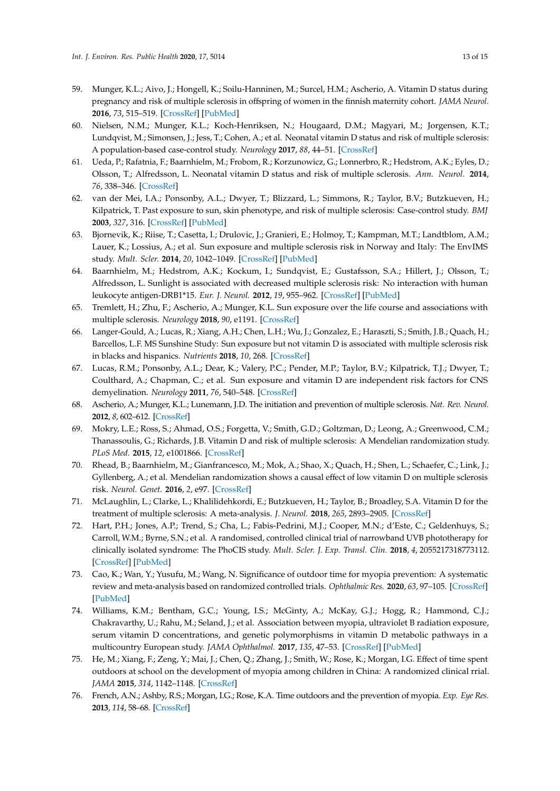- <span id="page-12-0"></span>59. Munger, K.L.; Aivo, J.; Hongell, K.; Soilu-Hanninen, M.; Surcel, H.M.; Ascherio, A. Vitamin D status during pregnancy and risk of multiple sclerosis in offspring of women in the finnish maternity cohort. *JAMA Neurol.* **2016**, *73*, 515–519. [\[CrossRef\]](http://dx.doi.org/10.1001/jamaneurol.2015.4800) [\[PubMed\]](http://www.ncbi.nlm.nih.gov/pubmed/26953778)
- <span id="page-12-1"></span>60. Nielsen, N.M.; Munger, K.L.; Koch-Henriksen, N.; Hougaard, D.M.; Magyari, M.; Jorgensen, K.T.; Lundqvist, M.; Simonsen, J.; Jess, T.; Cohen, A.; et al. Neonatal vitamin D status and risk of multiple sclerosis: A population-based case-control study. *Neurology* **2017**, *88*, 44–51. [\[CrossRef\]](http://dx.doi.org/10.1212/WNL.0000000000003454)
- <span id="page-12-2"></span>61. Ueda, P.; Rafatnia, F.; Baarnhielm, M.; Frobom, R.; Korzunowicz, G.; Lonnerbro, R.; Hedstrom, A.K.; Eyles, D.; Olsson, T.; Alfredsson, L. Neonatal vitamin D status and risk of multiple sclerosis. *Ann. Neurol.* **2014**, *76*, 338–346. [\[CrossRef\]](http://dx.doi.org/10.1002/ana.24210)
- <span id="page-12-3"></span>62. van der Mei, I.A.; Ponsonby, A.L.; Dwyer, T.; Blizzard, L.; Simmons, R.; Taylor, B.V.; Butzkueven, H.; Kilpatrick, T. Past exposure to sun, skin phenotype, and risk of multiple sclerosis: Case-control study. *BMJ* **2003**, *327*, 316. [\[CrossRef\]](http://dx.doi.org/10.1136/bmj.327.7410.316) [\[PubMed\]](http://www.ncbi.nlm.nih.gov/pubmed/12907484)
- <span id="page-12-4"></span>63. Bjornevik, K.; Riise, T.; Casetta, I.; Drulovic, J.; Granieri, E.; Holmoy, T.; Kampman, M.T.; Landtblom, A.M.; Lauer, K.; Lossius, A.; et al. Sun exposure and multiple sclerosis risk in Norway and Italy: The EnvIMS study. *Mult. Scler.* **2014**, *20*, 1042–1049. [\[CrossRef\]](http://dx.doi.org/10.1177/1352458513513968) [\[PubMed\]](http://www.ncbi.nlm.nih.gov/pubmed/24414538)
- <span id="page-12-5"></span>64. Baarnhielm, M.; Hedstrom, A.K.; Kockum, I.; Sundqvist, E.; Gustafsson, S.A.; Hillert, J.; Olsson, T.; Alfredsson, L. Sunlight is associated with decreased multiple sclerosis risk: No interaction with human leukocyte antigen-DRB1\*15. *Eur. J. Neurol.* **2012**, *19*, 955–962. [\[CrossRef\]](http://dx.doi.org/10.1111/j.1468-1331.2011.03650.x) [\[PubMed\]](http://www.ncbi.nlm.nih.gov/pubmed/22289117)
- <span id="page-12-6"></span>65. Tremlett, H.; Zhu, F.; Ascherio, A.; Munger, K.L. Sun exposure over the life course and associations with multiple sclerosis. *Neurology* **2018**, *90*, e1191. [\[CrossRef\]](http://dx.doi.org/10.1212/WNL.0000000000005257)
- <span id="page-12-7"></span>66. Langer-Gould, A.; Lucas, R.; Xiang, A.H.; Chen, L.H.; Wu, J.; Gonzalez, E.; Haraszti, S.; Smith, J.B.; Quach, H.; Barcellos, L.F. MS Sunshine Study: Sun exposure but not vitamin D is associated with multiple sclerosis risk in blacks and hispanics. *Nutrients* **2018**, *10*, 268. [\[CrossRef\]](http://dx.doi.org/10.3390/nu10030268)
- <span id="page-12-8"></span>67. Lucas, R.M.; Ponsonby, A.L.; Dear, K.; Valery, P.C.; Pender, M.P.; Taylor, B.V.; Kilpatrick, T.J.; Dwyer, T.; Coulthard, A.; Chapman, C.; et al. Sun exposure and vitamin D are independent risk factors for CNS demyelination. *Neurology* **2011**, *76*, 540–548. [\[CrossRef\]](http://dx.doi.org/10.1212/WNL.0b013e31820af93d)
- <span id="page-12-9"></span>68. Ascherio, A.; Munger, K.L.; Lunemann, J.D. The initiation and prevention of multiple sclerosis. *Nat. Rev. Neurol.* **2012**, *8*, 602–612. [\[CrossRef\]](http://dx.doi.org/10.1038/nrneurol.2012.198)
- <span id="page-12-11"></span>69. Mokry, L.E.; Ross, S.; Ahmad, O.S.; Forgetta, V.; Smith, G.D.; Goltzman, D.; Leong, A.; Greenwood, C.M.; Thanassoulis, G.; Richards, J.B. Vitamin D and risk of multiple sclerosis: A Mendelian randomization study. *PLoS Med.* **2015**, *12*, e1001866. [\[CrossRef\]](http://dx.doi.org/10.1371/journal.pmed.1001866)
- <span id="page-12-10"></span>70. Rhead, B.; Baarnhielm, M.; Gianfrancesco, M.; Mok, A.; Shao, X.; Quach, H.; Shen, L.; Schaefer, C.; Link, J.; Gyllenberg, A.; et al. Mendelian randomization shows a causal effect of low vitamin D on multiple sclerosis risk. *Neurol. Genet.* **2016**, *2*, e97. [\[CrossRef\]](http://dx.doi.org/10.1212/NXG.0000000000000097)
- <span id="page-12-12"></span>71. McLaughlin, L.; Clarke, L.; Khalilidehkordi, E.; Butzkueven, H.; Taylor, B.; Broadley, S.A. Vitamin D for the treatment of multiple sclerosis: A meta-analysis. *J. Neurol.* **2018**, *265*, 2893–2905. [\[CrossRef\]](http://dx.doi.org/10.1007/s00415-018-9074-6)
- <span id="page-12-13"></span>72. Hart, P.H.; Jones, A.P.; Trend, S.; Cha, L.; Fabis-Pedrini, M.J.; Cooper, M.N.; d'Este, C.; Geldenhuys, S.; Carroll, W.M.; Byrne, S.N.; et al. A randomised, controlled clinical trial of narrowband UVB phototherapy for clinically isolated syndrome: The PhoCIS study. *Mult. Scler. J. Exp. Transl. Clin.* **2018**, *4*, 2055217318773112. [\[CrossRef\]](http://dx.doi.org/10.1177/2055217318773112) [\[PubMed\]](http://www.ncbi.nlm.nih.gov/pubmed/29780610)
- <span id="page-12-14"></span>73. Cao, K.; Wan, Y.; Yusufu, M.; Wang, N. Significance of outdoor time for myopia prevention: A systematic review and meta-analysis based on randomized controlled trials. *Ophthalmic Res.* **2020**, *63*, 97–105. [\[CrossRef\]](http://dx.doi.org/10.1159/000501937) [\[PubMed\]](http://www.ncbi.nlm.nih.gov/pubmed/31430758)
- <span id="page-12-15"></span>74. Williams, K.M.; Bentham, G.C.; Young, I.S.; McGinty, A.; McKay, G.J.; Hogg, R.; Hammond, C.J.; Chakravarthy, U.; Rahu, M.; Seland, J.; et al. Association between myopia, ultraviolet B radiation exposure, serum vitamin D concentrations, and genetic polymorphisms in vitamin D metabolic pathways in a multicountry European study. *JAMA Ophthalmol.* **2017**, *135*, 47–53. [\[CrossRef\]](http://dx.doi.org/10.1001/jamaophthalmol.2016.4752) [\[PubMed\]](http://www.ncbi.nlm.nih.gov/pubmed/27918775)
- <span id="page-12-16"></span>75. He, M.; Xiang, F.; Zeng, Y.; Mai, J.; Chen, Q.; Zhang, J.; Smith, W.; Rose, K.; Morgan, I.G. Effect of time spent outdoors at school on the development of myopia among children in China: A randomized clinical rrial. *JAMA* **2015**, *314*, 1142–1148. [\[CrossRef\]](http://dx.doi.org/10.1001/jama.2015.10803)
- <span id="page-12-17"></span>76. French, A.N.; Ashby, R.S.; Morgan, I.G.; Rose, K.A. Time outdoors and the prevention of myopia. *Exp. Eye Res.* **2013**, *114*, 58–68. [\[CrossRef\]](http://dx.doi.org/10.1016/j.exer.2013.04.018)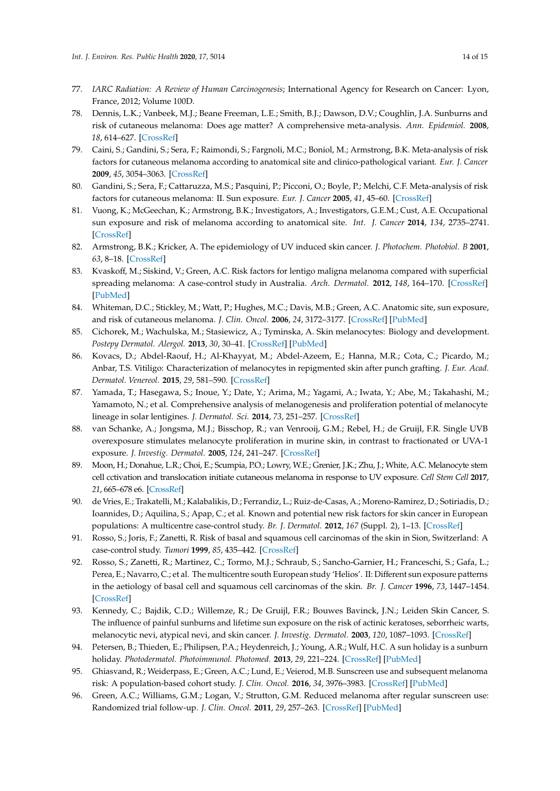- <span id="page-13-0"></span>77. *IARC Radiation: A Review of Human Carcinogenesis*; International Agency for Research on Cancer: Lyon, France, 2012; Volume 100D.
- <span id="page-13-1"></span>78. Dennis, L.K.; Vanbeek, M.J.; Beane Freeman, L.E.; Smith, B.J.; Dawson, D.V.; Coughlin, J.A. Sunburns and risk of cutaneous melanoma: Does age matter? A comprehensive meta-analysis. *Ann. Epidemiol.* **2008**, *18*, 614–627. [\[CrossRef\]](http://dx.doi.org/10.1016/j.annepidem.2008.04.006)
- <span id="page-13-2"></span>79. Caini, S.; Gandini, S.; Sera, F.; Raimondi, S.; Fargnoli, M.C.; Boniol, M.; Armstrong, B.K. Meta-analysis of risk factors for cutaneous melanoma according to anatomical site and clinico-pathological variant. *Eur. J. Cancer* **2009**, *45*, 3054–3063. [\[CrossRef\]](http://dx.doi.org/10.1016/j.ejca.2009.05.009)
- <span id="page-13-3"></span>80. Gandini, S.; Sera, F.; Cattaruzza, M.S.; Pasquini, P.; Picconi, O.; Boyle, P.; Melchi, C.F. Meta-analysis of risk factors for cutaneous melanoma: II. Sun exposure. *Eur. J. Cancer* **2005**, *41*, 45–60. [\[CrossRef\]](http://dx.doi.org/10.1016/j.ejca.2004.10.016)
- <span id="page-13-4"></span>81. Vuong, K.; McGeechan, K.; Armstrong, B.K.; Investigators, A.; Investigators, G.E.M.; Cust, A.E. Occupational sun exposure and risk of melanoma according to anatomical site. *Int. J. Cancer* **2014**, *134*, 2735–2741. [\[CrossRef\]](http://dx.doi.org/10.1002/ijc.28603)
- <span id="page-13-5"></span>82. Armstrong, B.K.; Kricker, A. The epidemiology of UV induced skin cancer. *J. Photochem. Photobiol. B* **2001**, *63*, 8–18. [\[CrossRef\]](http://dx.doi.org/10.1016/S1011-1344(01)00198-1)
- <span id="page-13-6"></span>83. Kvaskoff, M.; Siskind, V.; Green, A.C. Risk factors for lentigo maligna melanoma compared with superficial spreading melanoma: A case-control study in Australia. *Arch. Dermatol.* **2012**, *148*, 164–170. [\[CrossRef\]](http://dx.doi.org/10.1001/archdermatol.2011.291) [\[PubMed\]](http://www.ncbi.nlm.nih.gov/pubmed/22004881)
- <span id="page-13-7"></span>84. Whiteman, D.C.; Stickley, M.; Watt, P.; Hughes, M.C.; Davis, M.B.; Green, A.C. Anatomic site, sun exposure, and risk of cutaneous melanoma. *J. Clin. Oncol.* **2006**, *24*, 3172–3177. [\[CrossRef\]](http://dx.doi.org/10.1200/JCO.2006.06.1325) [\[PubMed\]](http://www.ncbi.nlm.nih.gov/pubmed/16809740)
- <span id="page-13-8"></span>85. Cichorek, M.; Wachulska, M.; Stasiewicz, A.; Tyminska, A. Skin melanocytes: Biology and development. *Postepy Dermatol. Alergol.* **2013**, *30*, 30–41. [\[CrossRef\]](http://dx.doi.org/10.5114/pdia.2013.33376) [\[PubMed\]](http://www.ncbi.nlm.nih.gov/pubmed/24278043)
- 86. Kovacs, D.; Abdel-Raouf, H.; Al-Khayyat, M.; Abdel-Azeem, E.; Hanna, M.R.; Cota, C.; Picardo, M.; Anbar, T.S. Vitiligo: Characterization of melanocytes in repigmented skin after punch grafting. *J. Eur. Acad. Dermatol. Venereol.* **2015**, *29*, 581–590. [\[CrossRef\]](http://dx.doi.org/10.1111/jdv.12647)
- <span id="page-13-9"></span>87. Yamada, T.; Hasegawa, S.; Inoue, Y.; Date, Y.; Arima, M.; Yagami, A.; Iwata, Y.; Abe, M.; Takahashi, M.; Yamamoto, N.; et al. Comprehensive analysis of melanogenesis and proliferation potential of melanocyte lineage in solar lentigines. *J. Dermatol. Sci.* **2014**, *73*, 251–257. [\[CrossRef\]](http://dx.doi.org/10.1016/j.jdermsci.2013.11.005)
- <span id="page-13-10"></span>88. van Schanke, A.; Jongsma, M.J.; Bisschop, R.; van Venrooij, G.M.; Rebel, H.; de Gruijl, F.R. Single UVB overexposure stimulates melanocyte proliferation in murine skin, in contrast to fractionated or UVA-1 exposure. *J. Investig. Dermatol.* **2005**, *124*, 241–247. [\[CrossRef\]](http://dx.doi.org/10.1111/j.0022-202X.2004.23551.x)
- <span id="page-13-11"></span>89. Moon, H.; Donahue, L.R.; Choi, E.; Scumpia, P.O.; Lowry, W.E.; Grenier, J.K.; Zhu, J.; White, A.C. Melanocyte stem cell cctivation and translocation initiate cutaneous melanoma in response to UV exposure. *Cell Stem Cell* **2017**, *21*, 665–678 e6. [\[CrossRef\]](http://dx.doi.org/10.1016/j.stem.2017.09.001)
- <span id="page-13-12"></span>90. de Vries, E.; Trakatelli, M.; Kalabalikis, D.; Ferrandiz, L.; Ruiz-de-Casas, A.; Moreno-Ramirez, D.; Sotiriadis, D.; Ioannides, D.; Aquilina, S.; Apap, C.; et al. Known and potential new risk factors for skin cancer in European populations: A multicentre case-control study. *Br. J. Dermatol.* **2012**, *167* (Suppl. 2), 1–13. [\[CrossRef\]](http://dx.doi.org/10.1111/j.1365-2133.2012.11081.x)
- <span id="page-13-13"></span>91. Rosso, S.; Joris, F.; Zanetti, R. Risk of basal and squamous cell carcinomas of the skin in Sion, Switzerland: A case-control study. *Tumori* **1999**, *85*, 435–442. [\[CrossRef\]](http://dx.doi.org/10.1177/030089169908500603)
- <span id="page-13-14"></span>92. Rosso, S.; Zanetti, R.; Martinez, C.; Tormo, M.J.; Schraub, S.; Sancho-Garnier, H.; Franceschi, S.; Gafa, L.; Perea, E.; Navarro, C.; et al. The multicentre south European study 'Helios'. II: Different sun exposure patterns in the aetiology of basal cell and squamous cell carcinomas of the skin. *Br. J. Cancer* **1996**, *73*, 1447–1454. [\[CrossRef\]](http://dx.doi.org/10.1038/bjc.1996.275)
- <span id="page-13-15"></span>93. Kennedy, C.; Bajdik, C.D.; Willemze, R.; De Gruijl, F.R.; Bouwes Bavinck, J.N.; Leiden Skin Cancer, S. The influence of painful sunburns and lifetime sun exposure on the risk of actinic keratoses, seborrheic warts, melanocytic nevi, atypical nevi, and skin cancer. *J. Investig. Dermatol.* **2003**, *120*, 1087–1093. [\[CrossRef\]](http://dx.doi.org/10.1046/j.1523-1747.2003.12246.x)
- <span id="page-13-16"></span>94. Petersen, B.; Thieden, E.; Philipsen, P.A.; Heydenreich, J.; Young, A.R.; Wulf, H.C. A sun holiday is a sunburn holiday. *Photodermatol. Photoimmunol. Photomed.* **2013**, *29*, 221–224. [\[CrossRef\]](http://dx.doi.org/10.1111/phpp.12048) [\[PubMed\]](http://www.ncbi.nlm.nih.gov/pubmed/23815357)
- <span id="page-13-17"></span>95. Ghiasvand, R.; Weiderpass, E.; Green, A.C.; Lund, E.; Veierod, M.B. Sunscreen use and subsequent melanoma risk: A population-based cohort study. *J. Clin. Oncol.* **2016**, *34*, 3976–3983. [\[CrossRef\]](http://dx.doi.org/10.1200/JCO.2016.67.5934) [\[PubMed\]](http://www.ncbi.nlm.nih.gov/pubmed/27621396)
- 96. Green, A.C.; Williams, G.M.; Logan, V.; Strutton, G.M. Reduced melanoma after regular sunscreen use: Randomized trial follow-up. *J. Clin. Oncol.* **2011**, *29*, 257–263. [\[CrossRef\]](http://dx.doi.org/10.1200/JCO.2010.28.7078) [\[PubMed\]](http://www.ncbi.nlm.nih.gov/pubmed/21135266)